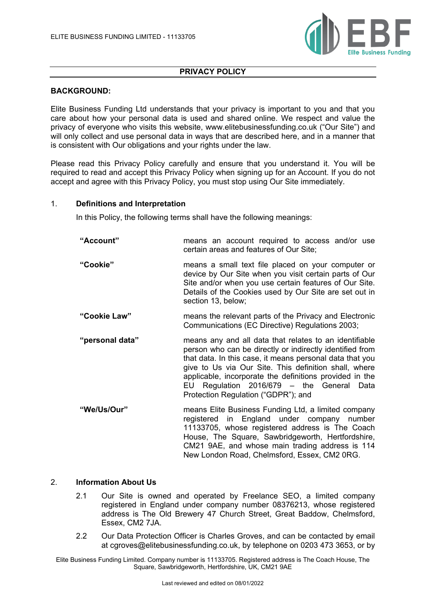

#### **PRIVACY POLICY**

## **BACKGROUND:**

Elite Business Funding Ltd understands that your privacy is important to you and that you care about how your personal data is used and shared online. We respect and value the privacy of everyone who visits this website, www.elitebusinessfunding.co.uk ("Our Site") and will only collect and use personal data in ways that are described here, and in a manner that is consistent with Our obligations and your rights under the law.

Please read this Privacy Policy carefully and ensure that you understand it. You will be required to read and accept this Privacy Policy when signing up for an Account. If you do not accept and agree with this Privacy Policy, you must stop using Our Site immediately.

#### 1. **Definitions and Interpretation**

In this Policy, the following terms shall have the following meanings:

| "Account"       | means an account required to access and/or use<br>certain areas and features of Our Site;                                                                                                                                                                                                                                                                                                                                                                                                                                                                                                |
|-----------------|------------------------------------------------------------------------------------------------------------------------------------------------------------------------------------------------------------------------------------------------------------------------------------------------------------------------------------------------------------------------------------------------------------------------------------------------------------------------------------------------------------------------------------------------------------------------------------------|
| "Cookie"        | means a small text file placed on your computer or<br>device by Our Site when you visit certain parts of Our<br>Site and/or when you use certain features of Our Site.<br>Details of the Cookies used by Our Site are set out in<br>section 13, below;                                                                                                                                                                                                                                                                                                                                   |
| "Cookie Law"    | means the relevant parts of the Privacy and Electronic<br>Communications (EC Directive) Regulations 2003;                                                                                                                                                                                                                                                                                                                                                                                                                                                                                |
| "personal data" | means any and all data that relates to an identifiable<br>person who can be directly or indirectly identified from<br>that data. In this case, it means personal data that you<br>give to Us via Our Site. This definition shall, where<br>applicable, incorporate the definitions provided in the<br>EU Regulation 2016/679 - the General Data<br>Protection Regulation ("GDPR"); and                                                                                                                                                                                                   |
| "We/Us/Our"     | means Elite Business Funding Ltd, a limited company<br>registered in England under company number<br>11133705, whose registered address is The Coach<br>House, The Square, Sawbridgeworth, Hertfordshire,<br>$\bigcap$ and $\bigcap$ $\bigcap$ $\bigcap$ $\bigcap$ $\bigcap$ $\bigcap$ $\bigcap$ $\bigcap$ $\bigcap$ $\bigcap$ $\bigcap$ $\bigcap$ $\bigcap$ $\bigcap$ $\bigcap$ $\bigcap$ $\bigcap$ $\bigcap$ $\bigcap$ $\bigcap$ $\bigcap$ $\bigcap$ $\bigcap$ $\bigcap$ $\bigcap$ $\bigcap$ $\bigcap$ $\bigcap$ $\bigcap$ $\bigcap$ $\bigcap$ $\bigcap$ $\bigcap$ $\bigcap$ $\bigcap$ |

# CM21 9AE, and whose main trading address is 114 New London Road, Chelmsford, Essex, CM2 0RG.

## 2. **Information About Us**

- 2.1 Our Site is owned and operated by Freelance SEO, a limited company registered in England under company number 08376213, whose registered address is The Old Brewery 47 Church Street, Great Baddow, Chelmsford, Essex, CM2 7JA.
- 2.2 Our Data Protection Officer is Charles Groves, and can be contacted by email at cgroves@elitebusinessfunding.co.uk, by telephone on 0203 473 3653, or by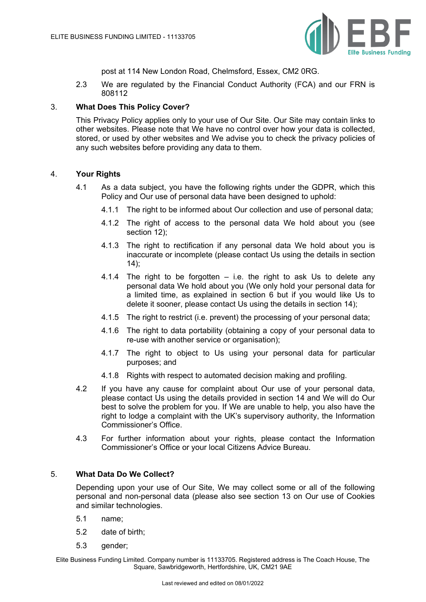

post at 114 New London Road, Chelmsford, Essex, CM2 0RG.

2.3 We are regulated by the Financial Conduct Authority (FCA) and our FRN is 808112

## 3. **What Does This Policy Cover?**

This Privacy Policy applies only to your use of Our Site. Our Site may contain links to other websites. Please note that We have no control over how your data is collected, stored, or used by other websites and We advise you to check the privacy policies of any such websites before providing any data to them.

# 4. **Your Rights**

- 4.1 As a data subject, you have the following rights under the GDPR, which this Policy and Our use of personal data have been designed to uphold:
	- 4.1.1 The right to be informed about Our collection and use of personal data;
	- 4.1.2 The right of access to the personal data We hold about you (see section 12);
	- 4.1.3 The right to rectification if any personal data We hold about you is inaccurate or incomplete (please contact Us using the details in section 14);
	- 4.1.4 The right to be forgotten  $-$  i.e. the right to ask Us to delete any personal data We hold about you (We only hold your personal data for a limited time, as explained in section 6 but if you would like Us to delete it sooner, please contact Us using the details in section 14);
	- 4.1.5 The right to restrict (i.e. prevent) the processing of your personal data;
	- 4.1.6 The right to data portability (obtaining a copy of your personal data to re-use with another service or organisation);
	- 4.1.7 The right to object to Us using your personal data for particular purposes; and
	- 4.1.8 Rights with respect to automated decision making and profiling.
- 4.2 If you have any cause for complaint about Our use of your personal data, please contact Us using the details provided in section 14 and We will do Our best to solve the problem for you. If We are unable to help, you also have the right to lodge a complaint with the UK's supervisory authority, the Information Commissioner's Office.
- 4.3 For further information about your rights, please contact the Information Commissioner's Office or your local Citizens Advice Bureau.

## 5. **What Data Do We Collect?**

Depending upon your use of Our Site, We may collect some or all of the following personal and non-personal data (please also see section 13 on Our use of Cookies and similar technologies.

- 5.1 name;
- 5.2 date of birth;
- 5.3 gender;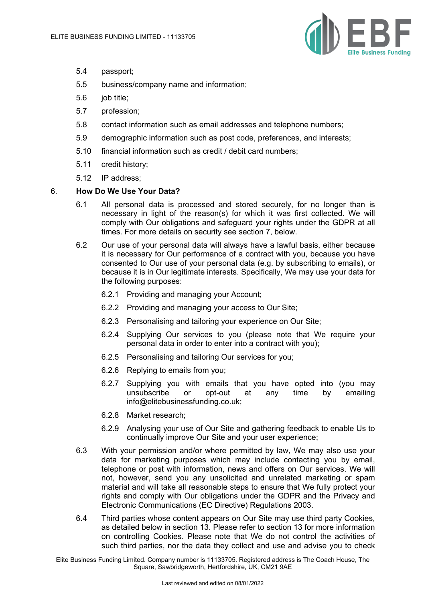

- 5.4 passport;
- 5.5 business/company name and information;
- 5.6 job title;
- 5.7 profession;
- 5.8 contact information such as email addresses and telephone numbers;
- 5.9 demographic information such as post code, preferences, and interests;
- 5.10 financial information such as credit / debit card numbers;
- 5.11 credit history;
- 5.12 IP address;

#### 6. **How Do We Use Your Data?**

- 6.1 All personal data is processed and stored securely, for no longer than is necessary in light of the reason(s) for which it was first collected. We will comply with Our obligations and safeguard your rights under the GDPR at all times. For more details on security see section 7, below.
- 6.2 Our use of your personal data will always have a lawful basis, either because it is necessary for Our performance of a contract with you, because you have consented to Our use of your personal data (e.g. by subscribing to emails), or because it is in Our legitimate interests. Specifically, We may use your data for the following purposes:
	- 6.2.1 Providing and managing your Account;
	- 6.2.2 Providing and managing your access to Our Site;
	- 6.2.3 Personalising and tailoring your experience on Our Site;
	- 6.2.4 Supplying Our services to you (please note that We require your personal data in order to enter into a contract with you);
	- 6.2.5 Personalising and tailoring Our services for you;
	- 6.2.6 Replying to emails from you;
	- 6.2.7 Supplying you with emails that you have opted into (you may unsubscribe or opt-out at any time by emailing info@elitebusinessfunding.co.uk;
	- 6.2.8 Market research;
	- 6.2.9 Analysing your use of Our Site and gathering feedback to enable Us to continually improve Our Site and your user experience;
- 6.3 With your permission and/or where permitted by law, We may also use your data for marketing purposes which may include contacting you by email, telephone or post with information, news and offers on Our services. We will not, however, send you any unsolicited and unrelated marketing or spam material and will take all reasonable steps to ensure that We fully protect your rights and comply with Our obligations under the GDPR and the Privacy and Electronic Communications (EC Directive) Regulations 2003.
- 6.4 Third parties whose content appears on Our Site may use third party Cookies, as detailed below in section 13. Please refer to section 13 for more information on controlling Cookies. Please note that We do not control the activities of such third parties, nor the data they collect and use and advise you to check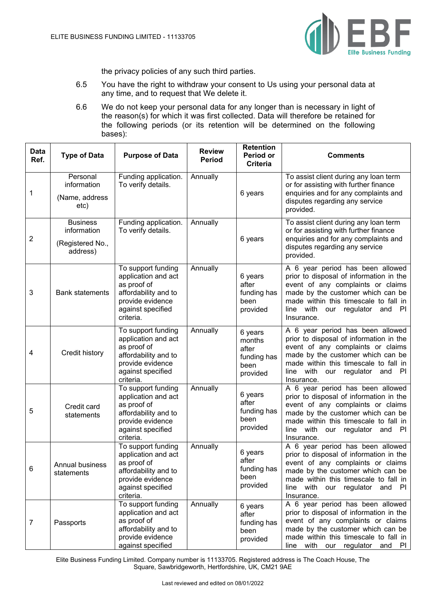

the privacy policies of any such third parties.

- 6.5 You have the right to withdraw your consent to Us using your personal data at any time, and to request that We delete it.
- 6.6 We do not keep your personal data for any longer than is necessary in light of the reason(s) for which it was first collected. Data will therefore be retained for the following periods (or its retention will be determined on the following bases):

| <b>Data</b><br>Ref. | <b>Type of Data</b>                                            | <b>Purpose of Data</b>                                                                                                                 | <b>Review</b><br><b>Period</b> | <b>Retention</b><br>Period or<br>Criteria                     | <b>Comments</b>                                                                                                                                                                                                                                         |
|---------------------|----------------------------------------------------------------|----------------------------------------------------------------------------------------------------------------------------------------|--------------------------------|---------------------------------------------------------------|---------------------------------------------------------------------------------------------------------------------------------------------------------------------------------------------------------------------------------------------------------|
| 1                   | Personal<br>information<br>(Name, address<br>etc)              | Funding application.<br>To verify details.                                                                                             | Annually                       | 6 years                                                       | To assist client during any loan term<br>or for assisting with further finance<br>enquiries and for any complaints and<br>disputes regarding any service<br>provided.                                                                                   |
| 2                   | <b>Business</b><br>information<br>(Registered No.,<br>address) | Funding application.<br>To verify details.                                                                                             | Annually                       | 6 years                                                       | To assist client during any loan term<br>or for assisting with further finance<br>enquiries and for any complaints and<br>disputes regarding any service<br>provided.                                                                                   |
| 3                   | <b>Bank statements</b>                                         | To support funding<br>application and act<br>as proof of<br>affordability and to<br>provide evidence<br>against specified<br>criteria. | Annually                       | 6 years<br>after<br>funding has<br>been<br>provided           | A 6 year period has been allowed<br>prior to disposal of information in the<br>event of any complaints or claims<br>made by the customer which can be<br>made within this timescale to fall in<br>line with our regulator and PI<br>Insurance.          |
| 4                   | Credit history                                                 | To support funding<br>application and act<br>as proof of<br>affordability and to<br>provide evidence<br>against specified<br>criteria. | Annually                       | 6 years<br>months<br>after<br>funding has<br>been<br>provided | A 6 year period has been allowed<br>prior to disposal of information in the<br>event of any complaints or claims<br>made by the customer which can be<br>made within this timescale to fall in<br>line with<br>regulator<br>and PI<br>our<br>Insurance. |
| 5                   | Credit card<br>statements                                      | To support funding<br>application and act<br>as proof of<br>affordability and to<br>provide evidence<br>against specified<br>criteria. | Annually                       | 6 years<br>after<br>funding has<br>been<br>provided           | A 6 year period has been allowed<br>prior to disposal of information in the<br>event of any complaints or claims<br>made by the customer which can be<br>made within this timescale to fall in<br>line with our regulator and PI<br>Insurance.          |
| 6                   | <b>Annual business</b><br>statements                           | To support funding<br>application and act<br>as proof of<br>affordability and to<br>provide evidence<br>against specified<br>criteria. | Annually                       | 6 years<br>after<br>funding has<br>been<br>provided           | A 6 year period has been allowed<br>prior to disposal of information in the<br>event of any complaints or claims<br>made by the customer which can be<br>made within this timescale to fall in<br>line with our regulator and PI<br>Insurance.          |
| 7                   | Passports                                                      | To support funding<br>application and act<br>as proof of<br>affordability and to<br>provide evidence<br>against specified              | Annually                       | 6 years<br>after<br>funding has<br>been<br>provided           | A 6 year period has been allowed<br>prior to disposal of information in the<br>event of any complaints or claims<br>made by the customer which can be<br>made within this timescale to fall in<br>line with our regulator and<br><b>PI</b>              |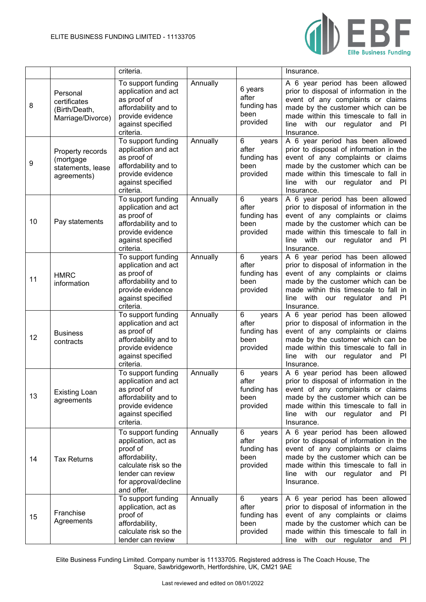

|    |                                                                   | criteria.                                                                                                                                                   |          |                                                        | Insurance.                                                                                                                                                                                                                                               |
|----|-------------------------------------------------------------------|-------------------------------------------------------------------------------------------------------------------------------------------------------------|----------|--------------------------------------------------------|----------------------------------------------------------------------------------------------------------------------------------------------------------------------------------------------------------------------------------------------------------|
| 8  | Personal<br>certificates<br>(Birth/Death,<br>Marriage/Divorce)    | To support funding<br>application and act<br>as proof of<br>affordability and to<br>provide evidence<br>against specified<br>criteria.                      | Annually | 6 years<br>after<br>funding has<br>been<br>provided    | A 6 year period has been allowed<br>prior to disposal of information in the<br>event of any complaints or claims<br>made by the customer which can be<br>made within this timescale to fall in<br>line with our regulator and<br>-PI<br>Insurance.       |
| 9  | Property records<br>(mortgage<br>statements, lease<br>agreements) | To support funding<br>application and act<br>as proof of<br>affordability and to<br>provide evidence<br>against specified<br>criteria.                      | Annually | 6<br>years<br>after<br>funding has<br>been<br>provided | A 6 year period has been allowed<br>prior to disposal of information in the<br>event of any complaints or claims<br>made by the customer which can be<br>made within this timescale to fall in<br>line with our regulator and PI<br>Insurance.           |
| 10 | Pay statements                                                    | To support funding<br>application and act<br>as proof of<br>affordability and to<br>provide evidence<br>against specified<br>criteria.                      | Annually | 6<br>years<br>after<br>funding has<br>been<br>provided | A 6 year period has been allowed<br>prior to disposal of information in the<br>event of any complaints or claims<br>made by the customer which can be<br>made within this timescale to fall in<br>line with our regulator and PI<br>Insurance.           |
| 11 | <b>HMRC</b><br>information                                        | To support funding<br>application and act<br>as proof of<br>affordability and to<br>provide evidence<br>against specified<br>criteria.                      | Annually | 6<br>years<br>after<br>funding has<br>been<br>provided | A 6 year period has been allowed<br>prior to disposal of information in the<br>event of any complaints or claims<br>made by the customer which can be<br>made within this timescale to fall in<br>line with our regulator and PI<br>Insurance.           |
| 12 | <b>Business</b><br>contracts                                      | To support funding<br>application and act<br>as proof of<br>affordability and to<br>provide evidence<br>against specified<br>criteria.                      | Annually | 6<br>years<br>after<br>funding has<br>been<br>provided | A 6 year period has been allowed<br>prior to disposal of information in the<br>event of any complaints or claims<br>made by the customer which can be<br>made within this timescale to fall in<br>line with our regulator and<br><b>PI</b><br>Insurance. |
| 13 | <b>Existing Loan</b><br>agreements                                | To support funding<br>application and act<br>as proof of<br>affordability and to<br>provide evidence<br>against specified<br>criteria.                      | Annually | 6<br>years<br>after<br>funding has<br>been<br>provided | A 6 year period has been allowed<br>prior to disposal of information in the<br>event of any complaints or claims<br>made by the customer which can be<br>made within this timescale to fall in<br>line with our regulator and PI<br>Insurance.           |
| 14 | <b>Tax Returns</b>                                                | To support funding<br>application, act as<br>proof of<br>affordability,<br>calculate risk so the<br>lender can review<br>for approval/decline<br>and offer. | Annually | 6<br>years<br>after<br>funding has<br>been<br>provided | A 6 year period has been allowed<br>prior to disposal of information in the<br>event of any complaints or claims<br>made by the customer which can be<br>made within this timescale to fall in<br>line with our regulator and PI<br>Insurance.           |
| 15 | Franchise<br>Agreements                                           | To support funding<br>application, act as<br>proof of<br>affordability,<br>calculate risk so the<br>lender can review                                       | Annually | 6<br>years<br>after<br>funding has<br>been<br>provided | A 6 year period has been allowed<br>prior to disposal of information in the<br>event of any complaints or claims<br>made by the customer which can be<br>made within this timescale to fall in<br>with our regulator and PI<br>line                      |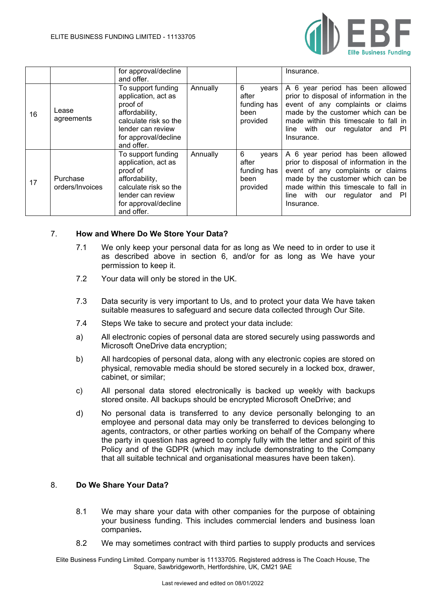

|    |                             | for approval/decline<br>and offer.                                                                                                                          |          |                                                        | Insurance.                                                                                                                                                                                                                                     |
|----|-----------------------------|-------------------------------------------------------------------------------------------------------------------------------------------------------------|----------|--------------------------------------------------------|------------------------------------------------------------------------------------------------------------------------------------------------------------------------------------------------------------------------------------------------|
| 16 | Lease<br>agreements         | To support funding<br>application, act as<br>proof of<br>affordability,<br>calculate risk so the<br>lender can review<br>for approval/decline<br>and offer. | Annually | 6<br>years<br>after<br>funding has<br>been<br>provided | A 6 year period has been allowed<br>prior to disposal of information in the<br>event of any complaints or claims<br>made by the customer which can be<br>made within this timescale to fall in<br>line with our regulator and PI<br>Insurance. |
| 17 | Purchase<br>orders/Invoices | To support funding<br>application, act as<br>proof of<br>affordability,<br>calculate risk so the<br>lender can review<br>for approval/decline<br>and offer. | Annually | 6<br>years<br>after<br>funding has<br>been<br>provided | A 6 year period has been allowed<br>prior to disposal of information in the<br>event of any complaints or claims<br>made by the customer which can be<br>made within this timescale to fall in<br>line with our regulator and PI<br>Insurance. |

## 7. **How and Where Do We Store Your Data?**

- 7.1 We only keep your personal data for as long as We need to in order to use it as described above in section 6, and/or for as long as We have your permission to keep it.
- 7.2 Your data will only be stored in the UK.
- 7.3 Data security is very important to Us, and to protect your data We have taken suitable measures to safeguard and secure data collected through Our Site.
- 7.4 Steps We take to secure and protect your data include:
- a) All electronic copies of personal data are stored securely using passwords and Microsoft OneDrive data encryption;
- b) All hardcopies of personal data, along with any electronic copies are stored on physical, removable media should be stored securely in a locked box, drawer, cabinet, or similar;
- c) All personal data stored electronically is backed up weekly with backups stored onsite. All backups should be encrypted Microsoft OneDrive; and
- d) No personal data is transferred to any device personally belonging to an employee and personal data may only be transferred to devices belonging to agents, contractors, or other parties working on behalf of the Company where the party in question has agreed to comply fully with the letter and spirit of this Policy and of the GDPR (which may include demonstrating to the Company that all suitable technical and organisational measures have been taken).

# 8. **Do We Share Your Data?**

- 8.1 We may share your data with other companies for the purpose of obtaining your business funding. This includes commercial lenders and business loan companies**.**
- 8.2 We may sometimes contract with third parties to supply products and services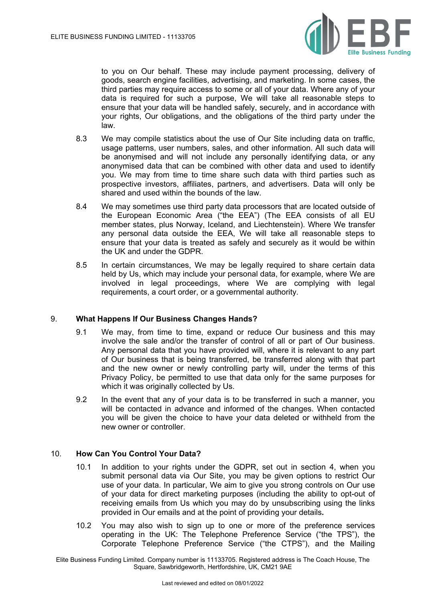

to you on Our behalf. These may include payment processing, delivery of goods, search engine facilities, advertising, and marketing. In some cases, the third parties may require access to some or all of your data. Where any of your data is required for such a purpose, We will take all reasonable steps to ensure that your data will be handled safely, securely, and in accordance with your rights, Our obligations, and the obligations of the third party under the law.

- 8.3 We may compile statistics about the use of Our Site including data on traffic, usage patterns, user numbers, sales, and other information. All such data will be anonymised and will not include any personally identifying data, or any anonymised data that can be combined with other data and used to identify you. We may from time to time share such data with third parties such as prospective investors, affiliates, partners, and advertisers. Data will only be shared and used within the bounds of the law.
- 8.4 We may sometimes use third party data processors that are located outside of the European Economic Area ("the EEA") (The EEA consists of all EU member states, plus Norway, Iceland, and Liechtenstein). Where We transfer any personal data outside the EEA, We will take all reasonable steps to ensure that your data is treated as safely and securely as it would be within the UK and under the GDPR.
- 8.5 In certain circumstances, We may be legally required to share certain data held by Us, which may include your personal data, for example, where We are involved in legal proceedings, where We are complying with legal requirements, a court order, or a governmental authority.

#### 9. **What Happens If Our Business Changes Hands?**

- 9.1 We may, from time to time, expand or reduce Our business and this may involve the sale and/or the transfer of control of all or part of Our business. Any personal data that you have provided will, where it is relevant to any part of Our business that is being transferred, be transferred along with that part and the new owner or newly controlling party will, under the terms of this Privacy Policy, be permitted to use that data only for the same purposes for which it was originally collected by Us.
- 9.2 In the event that any of your data is to be transferred in such a manner, you will be contacted in advance and informed of the changes. When contacted you will be given the choice to have your data deleted or withheld from the new owner or controller.

### 10. **How Can You Control Your Data?**

- 10.1 In addition to your rights under the GDPR, set out in section 4, when you submit personal data via Our Site, you may be given options to restrict Our use of your data. In particular, We aim to give you strong controls on Our use of your data for direct marketing purposes (including the ability to opt-out of receiving emails from Us which you may do by unsubscribing using the links provided in Our emails and at the point of providing your details**.**
- 10.2 You may also wish to sign up to one or more of the preference services operating in the UK: The Telephone Preference Service ("the TPS"), the Corporate Telephone Preference Service ("the CTPS"), and the Mailing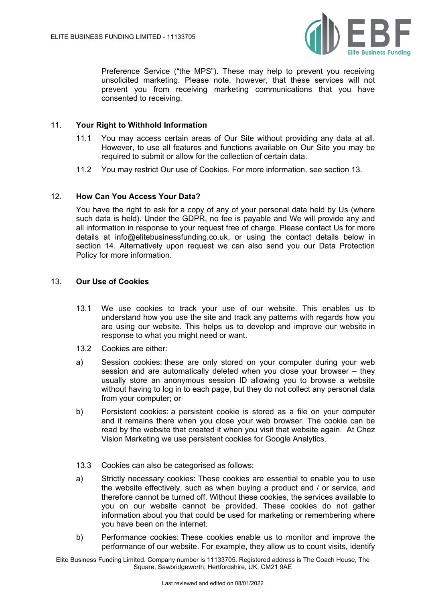

Preference Service ("the MPS"). These may help to prevent you receiving unsolicited marketing. Please note, however, that these services will not prevent you from receiving marketing communications that you have consented to receiving.

## 11. **Your Right to Withhold Information**

- 11.1 You may access certain areas of Our Site without providing any data at all. However, to use all features and functions available on Our Site you may be required to submit or allow for the collection of certain data.
- 11.2 You may restrict Our use of Cookies. For more information, see section 13.

#### 12. **How Can You Access Your Data?**

You have the right to ask for a copy of any of your personal data held by Us (where such data is held). Under the GDPR, no fee is payable and We will provide any and all information in response to your request free of charge. Please contact Us for more details at info@elitebusinessfunding.co.uk, or using the contact details below in section 14. Alternatively upon request we can also send you our Data Protection Policy for more information.

#### 13. **Our Use of Cookies**

- 13.1 We use cookies to track your use of our website. This enables us to understand how you use the site and track any patterns with regards how you are using our website. This helps us to develop and improve our website in response to what you might need or want.
- 13.2 Cookies are either:
- a) Session cookies: these are only stored on your computer during your web session and are automatically deleted when you close your browser – they usually store an anonymous session ID allowing you to browse a website without having to log in to each page, but they do not collect any personal data from your computer; or
- b) Persistent cookies: a persistent cookie is stored as a file on your computer and it remains there when you close your web browser. The cookie can be read by the website that created it when you visit that website again. At Chez Vision Marketing we use persistent cookies for Google Analytics.
- 13.3 Cookies can also be categorised as follows:
- a) Strictly necessary cookies: These cookies are essential to enable you to use the website effectively, such as when buying a product and / or service, and therefore cannot be turned off. Without these cookies, the services available to you on our website cannot be provided. These cookies do not gather information about you that could be used for marketing or remembering where you have been on the internet.
- b) Performance cookies: These cookies enable us to monitor and improve the performance of our website. For example, they allow us to count visits, identify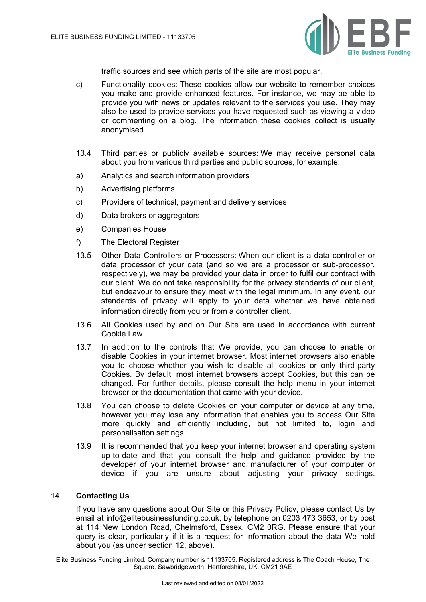

traffic sources and see which parts of the site are most popular.

- c) Functionality cookies: These cookies allow our website to remember choices you make and provide enhanced features. For instance, we may be able to provide you with news or updates relevant to the services you use. They may also be used to provide services you have requested such as viewing a video or commenting on a blog. The information these cookies collect is usually anonymised.
- 13.4 Third parties or publicly available sources: We may receive personal data about you from various third parties and public sources, for example:
- a) Analytics and search information providers
- b) Advertising platforms
- c) Providers of technical, payment and delivery services
- d) Data brokers or aggregators
- e) Companies House
- f) The Electoral Register
- 13.5 Other Data Controllers or Processors: When our client is a data controller or data processor of your data (and so we are a processor or sub-processor, respectively), we may be provided your data in order to fulfil our contract with our client. We do not take responsibility for the privacy standards of our client, but endeavour to ensure they meet with the legal minimum. In any event, our standards of privacy will apply to your data whether we have obtained information directly from you or from a controller client.
- 13.6 All Cookies used by and on Our Site are used in accordance with current Cookie Law.
- 13.7 In addition to the controls that We provide, you can choose to enable or disable Cookies in your internet browser. Most internet browsers also enable you to choose whether you wish to disable all cookies or only third-party Cookies. By default, most internet browsers accept Cookies, but this can be changed. For further details, please consult the help menu in your internet browser or the documentation that came with your device.
- 13.8 You can choose to delete Cookies on your computer or device at any time, however you may lose any information that enables you to access Our Site more quickly and efficiently including, but not limited to, login and personalisation settings.
- 13.9 It is recommended that you keep your internet browser and operating system up-to-date and that you consult the help and guidance provided by the developer of your internet browser and manufacturer of your computer or device if you are unsure about adjusting your privacy settings.

#### 14. **Contacting Us**

If you have any questions about Our Site or this Privacy Policy, please contact Us by email at info@elitebusinessfunding.co.uk, by telephone on 0203 473 3653, or by post at 114 New London Road, Chelmsford, Essex, CM2 0RG. Please ensure that your query is clear, particularly if it is a request for information about the data We hold about you (as under section 12, above).